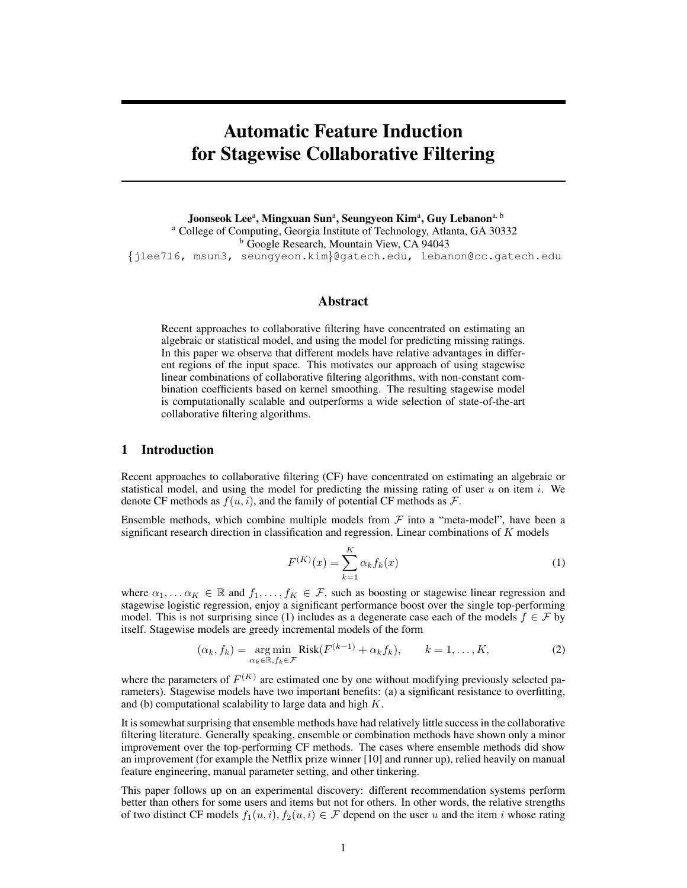# Automatic Feature Induction for Stagewise Collaborative Filtering

Joonseok Lee<sup>a</sup>, Mingxuan Sun<sup>a</sup>, Seungyeon Kim<sup>a</sup>, Guy Lebanon<sup>a, b</sup> <sup>a</sup> College of Computing, Georgia Institute of Technology, Atlanta, GA 30332 <sup>b</sup> Google Research, Mountain View, CA 94043 {jlee716, msun3, seungyeon.kim}@gatech.edu, lebanon@cc.gatech.edu

### Abstract

Recent approaches to collaborative filtering have concentrated on estimating an algebraic or statistical model, and using the model for predicting missing ratings. In this paper we observe that different models have relative advantages in different regions of the input space. This motivates our approach of using stagewise linear combinations of collaborative filtering algorithms, with non-constant combination coefficients based on kernel smoothing. The resulting stagewise model is computationally scalable and outperforms a wide selection of state-of-the-art collaborative filtering algorithms.

### 1 Introduction

Recent approaches to collaborative filtering (CF) have concentrated on estimating an algebraic or statistical model, and using the model for predicting the missing rating of user  $u$  on item  $i$ . We denote CF methods as  $f(u, i)$ , and the family of potential CF methods as  $\mathcal{F}$ .

Ensemble methods, which combine multiple models from  $\mathcal F$  into a "meta-model", have been a significant research direction in classification and regression. Linear combinations of  $K$  models

$$
F^{(K)}(x) = \sum_{k=1}^{K} \alpha_k f_k(x)
$$
 (1)

where  $\alpha_1, \ldots, \alpha_K \in \mathbb{R}$  and  $f_1, \ldots, f_K \in \mathcal{F}$ , such as boosting or stagewise linear regression and stagewise logistic regression, enjoy a significant performance boost over the single top-performing model. This is not surprising since (1) includes as a degenerate case each of the models  $f \in \mathcal{F}$  by itself. Stagewise models are greedy incremental models of the form

$$
(\alpha_k, f_k) = \underset{\alpha_k \in \mathbb{R}, f_k \in \mathcal{F}}{\arg \min} \text{Risk}(F^{(k-1)} + \alpha_k f_k), \qquad k = 1, \dots, K,
$$
 (2)

where the parameters of  $F^{(K)}$  are estimated one by one without modifying previously selected parameters). Stagewise models have two important benefits: (a) a significant resistance to overfitting, and (b) computational scalability to large data and high  $K$ .

It is somewhat surprising that ensemble methods have had relatively little success in the collaborative filtering literature. Generally speaking, ensemble or combination methods have shown only a minor improvement over the top-performing CF methods. The cases where ensemble methods did show an improvement (for example the Netflix prize winner [10] and runner up), relied heavily on manual feature engineering, manual parameter setting, and other tinkering.

This paper follows up on an experimental discovery: different recommendation systems perform better than others for some users and items but not for others. In other words, the relative strengths of two distinct CF models  $f_1(u, i)$ ,  $f_2(u, i) \in \mathcal{F}$  depend on the user u and the item i whose rating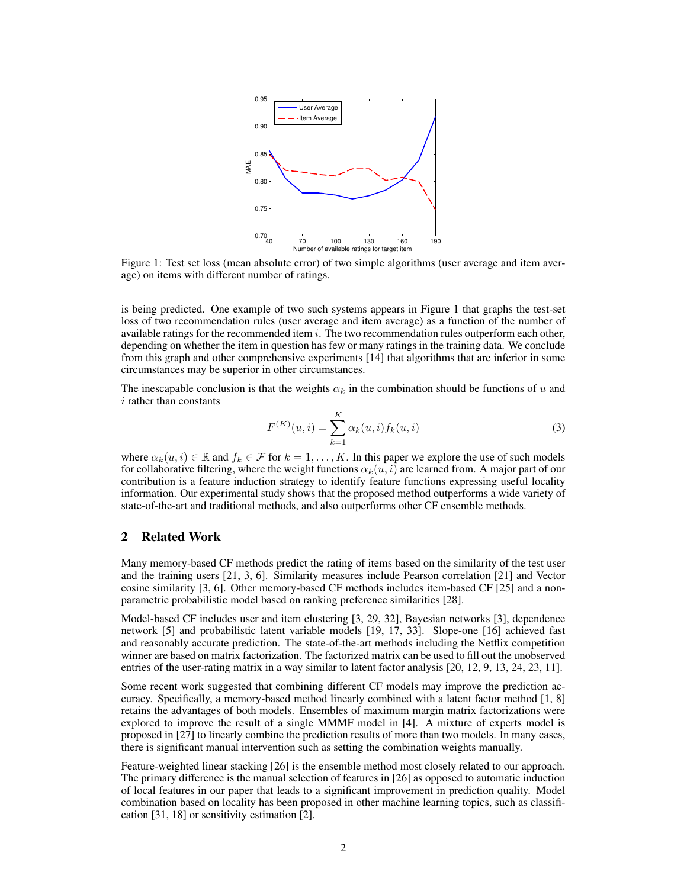

Figure 1: Test set loss (mean absolute error) of two simple algorithms (user average and item average) on items with different number of ratings.

is being predicted. One example of two such systems appears in Figure 1 that graphs the test-set loss of two recommendation rules (user average and item average) as a function of the number of available ratings for the recommended item  $i$ . The two recommendation rules outperform each other, depending on whether the item in question has few or many ratings in the training data. We conclude from this graph and other comprehensive experiments [14] that algorithms that are inferior in some circumstances may be superior in other circumstances.

The inescapable conclusion is that the weights  $\alpha_k$  in the combination should be functions of u and i rather than constants

$$
F^{(K)}(u,i) = \sum_{k=1}^{K} \alpha_k(u,i) f_k(u,i)
$$
 (3)

where  $\alpha_k(u, i) \in \mathbb{R}$  and  $f_k \in \mathcal{F}$  for  $k = 1, \dots, K$ . In this paper we explore the use of such models for collaborative filtering, where the weight functions  $\alpha_k(u, i)$  are learned from. A major part of our contribution is a feature induction strategy to identify feature functions expressing useful locality information. Our experimental study shows that the proposed method outperforms a wide variety of state-of-the-art and traditional methods, and also outperforms other CF ensemble methods.

### 2 Related Work

Many memory-based CF methods predict the rating of items based on the similarity of the test user and the training users [21, 3, 6]. Similarity measures include Pearson correlation [21] and Vector cosine similarity [3, 6]. Other memory-based CF methods includes item-based CF [25] and a nonparametric probabilistic model based on ranking preference similarities [28].

Model-based CF includes user and item clustering [3, 29, 32], Bayesian networks [3], dependence network [5] and probabilistic latent variable models [19, 17, 33]. Slope-one [16] achieved fast and reasonably accurate prediction. The state-of-the-art methods including the Netflix competition winner are based on matrix factorization. The factorized matrix can be used to fill out the unobserved entries of the user-rating matrix in a way similar to latent factor analysis [20, 12, 9, 13, 24, 23, 11].

Some recent work suggested that combining different CF models may improve the prediction accuracy. Specifically, a memory-based method linearly combined with a latent factor method [1, 8] retains the advantages of both models. Ensembles of maximum margin matrix factorizations were explored to improve the result of a single MMMF model in [4]. A mixture of experts model is proposed in [27] to linearly combine the prediction results of more than two models. In many cases, there is significant manual intervention such as setting the combination weights manually.

Feature-weighted linear stacking [26] is the ensemble method most closely related to our approach. The primary difference is the manual selection of features in [26] as opposed to automatic induction of local features in our paper that leads to a significant improvement in prediction quality. Model combination based on locality has been proposed in other machine learning topics, such as classification [31, 18] or sensitivity estimation [2].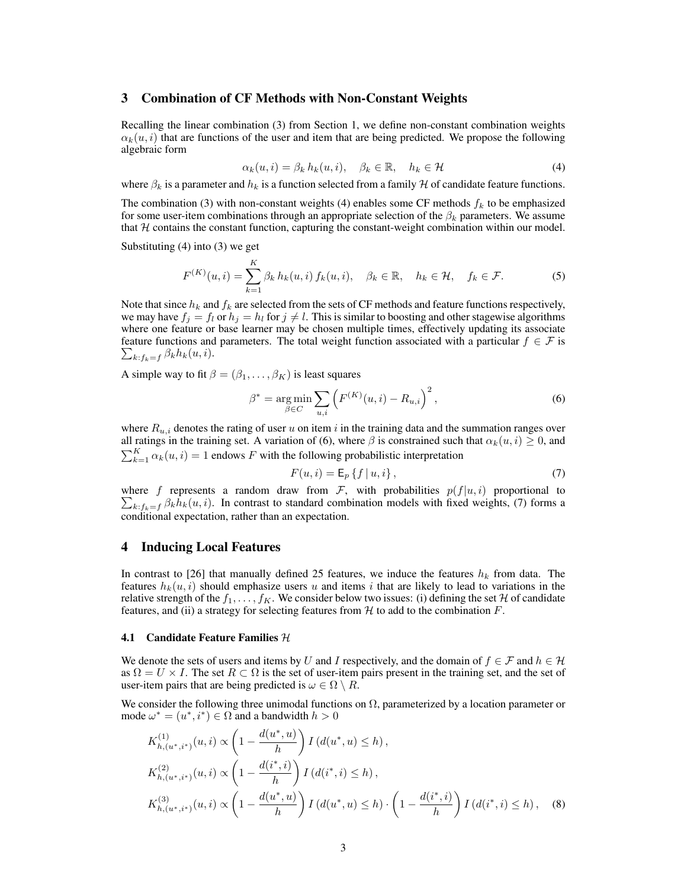### 3 Combination of CF Methods with Non-Constant Weights

Recalling the linear combination (3) from Section 1, we define non-constant combination weights  $\alpha_k(u, i)$  that are functions of the user and item that are being predicted. We propose the following algebraic form

$$
\alpha_k(u,i) = \beta_k h_k(u,i), \quad \beta_k \in \mathbb{R}, \quad h_k \in \mathcal{H}
$$
 (4)

where  $\beta_k$  is a parameter and  $h_k$  is a function selected from a family H of candidate feature functions.

The combination (3) with non-constant weights (4) enables some CF methods  $f_k$  to be emphasized for some user-item combinations through an appropriate selection of the  $\beta_k$  parameters. We assume that  $H$  contains the constant function, capturing the constant-weight combination within our model.

Substituting (4) into (3) we get

$$
F^{(K)}(u,i) = \sum_{k=1}^{K} \beta_k h_k(u,i) f_k(u,i), \quad \beta_k \in \mathbb{R}, \quad h_k \in \mathcal{H}, \quad f_k \in \mathcal{F}.
$$
 (5)

Note that since  $h_k$  and  $f_k$  are selected from the sets of CF methods and feature functions respectively, we may have  $f_i = f_l$  or  $h_j = h_l$  for  $j \neq l$ . This is similar to boosting and other stagewise algorithms where one feature or base learner may be chosen multiple times, effectively updating its associate feature functions and parameters. The total weight function associated with a particular  $f \in \mathcal{F}$  is  $\sum_{k:f_k=f} \beta_k h_k(u,i).$ 

A simple way to fit  $\beta = (\beta_1, \dots, \beta_K)$  is least squares

$$
\beta^* = \underset{\beta \in C}{\arg \min} \sum_{u,i} \left( F^{(K)}(u,i) - R_{u,i} \right)^2, \tag{6}
$$

where  $R_{u,i}$  denotes the rating of user u on item i in the training data and the summation ranges over all ratings in the training set. A variation of (6), where  $\beta$  is constrained such that  $\alpha_k(u, i) \geq 0$ , and  $\sum_{k=1}^{K} \alpha_k(u, i) = 1$  endows F with the following probabilistic interpretation

$$
F(u,i) = \mathsf{E}_p\left\{f \mid u,i\right\},\tag{7}
$$

where f represents a random draw from F, with probabilities  $p(f|u, i)$  proportional to  $\sum_{k:f_k=f} \beta_k h_k(u, i)$ . In contrast to standard combination models with fixed weights, (7) forms a conditional expectation, rather than an expectation.

### 4 Inducing Local Features

In contrast to [26] that manually defined 25 features, we induce the features  $h_k$  from data. The features  $h_k(u, i)$  should emphasize users u and items i that are likely to lead to variations in the relative strength of the  $f_1, \ldots, f_K$ . We consider below two issues: (i) defining the set H of candidate features, and (ii) a strategy for selecting features from  $H$  to add to the combination  $F$ .

#### **4.1** Candidate Feature Families  $H$

We denote the sets of users and items by U and I respectively, and the domain of  $f \in \mathcal{F}$  and  $h \in \mathcal{H}$ as  $\Omega = U \times I$ . The set  $R \subset \Omega$  is the set of user-item pairs present in the training set, and the set of user-item pairs that are being predicted is  $\omega \in \Omega \setminus R$ .

We consider the following three unimodal functions on  $\Omega$ , parameterized by a location parameter or mode  $\omega^* = (u^*, i^*) \in \Omega$  and a bandwidth  $h > 0$ 

$$
K_{h,(u^*,i^*)}^{(1)}(u,i) \propto \left(1 - \frac{d(u^*,u)}{h}\right) I\left(d(u^*,u) \le h\right),
$$
  
\n
$$
K_{h,(u^*,i^*)}^{(2)}(u,i) \propto \left(1 - \frac{d(i^*,i)}{h}\right) I\left(d(i^*,i) \le h\right),
$$
  
\n
$$
K_{h,(u^*,i^*)}^{(3)}(u,i) \propto \left(1 - \frac{d(u^*,u)}{h}\right) I\left(d(u^*,u) \le h\right) \cdot \left(1 - \frac{d(i^*,i)}{h}\right) I\left(d(i^*,i) \le h\right),
$$
 (8)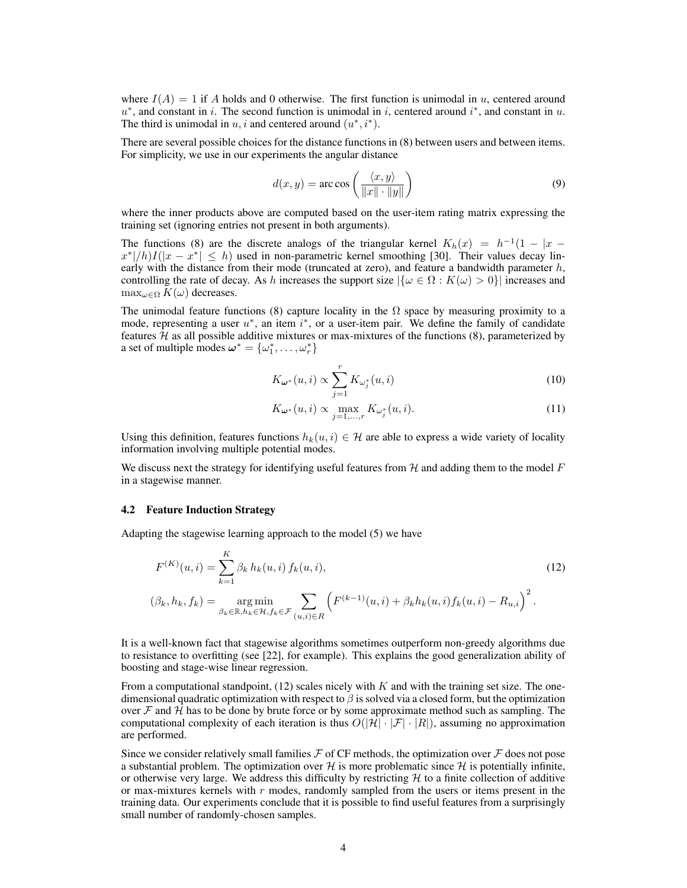where  $I(A) = 1$  if A holds and 0 otherwise. The first function is unimodal in u, centered around  $u^*$ , and constant in i. The second function is unimodal in i, centered around i<sup>\*</sup>, and constant in u. The third is unimodal in  $u, i$  and centered around  $(u^*, i^*)$ .

There are several possible choices for the distance functions in (8) between users and between items. For simplicity, we use in our experiments the angular distance

$$
d(x, y) = \arccos\left(\frac{\langle x, y \rangle}{\|x\| \cdot \|y\|}\right) \tag{9}
$$

where the inner products above are computed based on the user-item rating matrix expressing the training set (ignoring entries not present in both arguments).

The functions (8) are the discrete analogs of the triangular kernel  $K_h(x) = h^{-1}(1 - |x - y|)$  $x^*|/h)I(|x-x^*| \leq h$ ) used in non-parametric kernel smoothing [30]. Their values decay linearly with the distance from their mode (truncated at zero), and feature a bandwidth parameter  $h$ , controlling the rate of decay. As h increases the support size  $|\{\omega \in \Omega : K(\omega) > 0\}|$  increases and  $\max_{\omega \in \Omega} K(\omega)$  decreases.

The unimodal feature functions (8) capture locality in the  $\Omega$  space by measuring proximity to a mode, representing a user  $u^*$ , an item  $i^*$ , or a user-item pair. We define the family of candidate features  $H$  as all possible additive mixtures or max-mixtures of the functions  $(8)$ , parameterized by a set of multiple modes  $\boldsymbol{\omega}^* = {\{\omega_1^*, \dots, \omega_r^*\}}$ 

$$
K_{\omega^*}(u,i) \propto \sum_{j=1}^r K_{\omega_j^*}(u,i)
$$
\n(10)

$$
K_{\boldsymbol{\omega}^*}(u,i) \propto \max_{j=1,\dots,r} K_{\omega_j^*}(u,i). \tag{11}
$$

Using this definition, features functions  $h_k(u, i) \in \mathcal{H}$  are able to express a wide variety of locality information involving multiple potential modes.

We discuss next the strategy for identifying useful features from  $H$  and adding them to the model  $F$ in a stagewise manner.

### 4.2 Feature Induction Strategy

Adapting the stagewise learning approach to the model (5) we have

$$
F^{(K)}(u,i) = \sum_{k=1}^{K} \beta_k h_k(u,i) f_k(u,i),
$$
  
\n
$$
(\beta_k, h_k, f_k) = \underset{\beta_k \in \mathbb{R}, h_k \in \mathcal{H}, f_k \in \mathcal{F}}{\text{arg min}} \sum_{(u,i) \in R} \left( F^{(k-1)}(u,i) + \beta_k h_k(u,i) f_k(u,i) - R_{u,i} \right)^2.
$$
\n(12)

It is a well-known fact that stagewise algorithms sometimes outperform non-greedy algorithms due to resistance to overfitting (see [22], for example). This explains the good generalization ability of boosting and stage-wise linear regression.

From a computational standpoint,  $(12)$  scales nicely with K and with the training set size. The onedimensional quadratic optimization with respect to  $\beta$  is solved via a closed form, but the optimization over  $F$  and  $H$  has to be done by brute force or by some approximate method such as sampling. The computational complexity of each iteration is thus  $O(|\mathcal{H}| \cdot |\mathcal{F}| \cdot |R|)$ , assuming no approximation are performed.

Since we consider relatively small families  $\mathcal F$  of CF methods, the optimization over  $\mathcal F$  does not pose a substantial problem. The optimization over  $\mathcal{H}$  is more problematic since  $\mathcal{H}$  is potentially infinite, or otherwise very large. We address this difficulty by restricting  $H$  to a finite collection of additive or max-mixtures kernels with  $r$  modes, randomly sampled from the users or items present in the training data. Our experiments conclude that it is possible to find useful features from a surprisingly small number of randomly-chosen samples.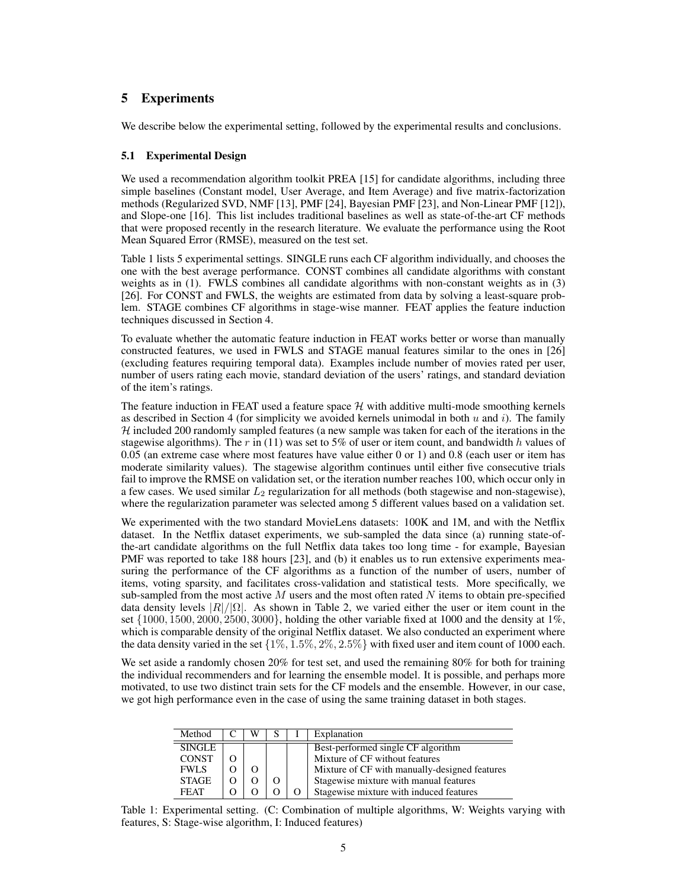## 5 Experiments

We describe below the experimental setting, followed by the experimental results and conclusions.

### 5.1 Experimental Design

We used a recommendation algorithm toolkit PREA [15] for candidate algorithms, including three simple baselines (Constant model, User Average, and Item Average) and five matrix-factorization methods (Regularized SVD, NMF [13], PMF [24], Bayesian PMF [23], and Non-Linear PMF [12]), and Slope-one [16]. This list includes traditional baselines as well as state-of-the-art CF methods that were proposed recently in the research literature. We evaluate the performance using the Root Mean Squared Error (RMSE), measured on the test set.

Table 1 lists 5 experimental settings. SINGLE runs each CF algorithm individually, and chooses the one with the best average performance. CONST combines all candidate algorithms with constant weights as in (1). FWLS combines all candidate algorithms with non-constant weights as in (3) [26]. For CONST and FWLS, the weights are estimated from data by solving a least-square problem. STAGE combines CF algorithms in stage-wise manner. FEAT applies the feature induction techniques discussed in Section 4.

To evaluate whether the automatic feature induction in FEAT works better or worse than manually constructed features, we used in FWLS and STAGE manual features similar to the ones in [26] (excluding features requiring temporal data). Examples include number of movies rated per user, number of users rating each movie, standard deviation of the users' ratings, and standard deviation of the item's ratings.

The feature induction in FEAT used a feature space  $H$  with additive multi-mode smoothing kernels as described in Section 4 (for simplicity we avoided kernels unimodal in both  $u$  and  $i$ ). The family  $H$  included 200 randomly sampled features (a new sample was taken for each of the iterations in the stagewise algorithms). The r in (11) was set to 5% of user or item count, and bandwidth h values of 0.05 (an extreme case where most features have value either 0 or 1) and 0.8 (each user or item has moderate similarity values). The stagewise algorithm continues until either five consecutive trials fail to improve the RMSE on validation set, or the iteration number reaches 100, which occur only in a few cases. We used similar  $L_2$  regularization for all methods (both stagewise and non-stagewise), where the regularization parameter was selected among 5 different values based on a validation set.

We experimented with the two standard MovieLens datasets: 100K and 1M, and with the Netflix dataset. In the Netflix dataset experiments, we sub-sampled the data since (a) running state-ofthe-art candidate algorithms on the full Netflix data takes too long time - for example, Bayesian PMF was reported to take 188 hours [23], and (b) it enables us to run extensive experiments measuring the performance of the CF algorithms as a function of the number of users, number of items, voting sparsity, and facilitates cross-validation and statistical tests. More specifically, we sub-sampled from the most active  $M$  users and the most often rated  $N$  items to obtain pre-specified data density levels  $|R|/|\Omega|$ . As shown in Table 2, we varied either the user or item count in the set  $\{1000, 1500, 2000, 2500, 3000\}$ , holding the other variable fixed at 1000 and the density at 1%, which is comparable density of the original Netflix dataset. We also conducted an experiment where the data density varied in the set  $\{1\%, 1.5\%, 2\%, 2.5\% \}$  with fixed user and item count of 1000 each.

We set aside a randomly chosen 20% for test set, and used the remaining 80% for both for training the individual recommenders and for learning the ensemble model. It is possible, and perhaps more motivated, to use two distinct train sets for the CF models and the ensemble. However, in our case, we got high performance even in the case of using the same training dataset in both stages.

| Method        | W |  | Explanation                                   |
|---------------|---|--|-----------------------------------------------|
| <b>SINGLE</b> |   |  | Best-performed single CF algorithm            |
| <b>CONST</b>  |   |  | Mixture of CF without features                |
| <b>FWLS</b>   |   |  | Mixture of CF with manually-designed features |
| <b>STAGE</b>  |   |  | Stagewise mixture with manual features        |
| <b>FEAT</b>   |   |  | Stagewise mixture with induced features       |

Table 1: Experimental setting. (C: Combination of multiple algorithms, W: Weights varying with features, S: Stage-wise algorithm, I: Induced features)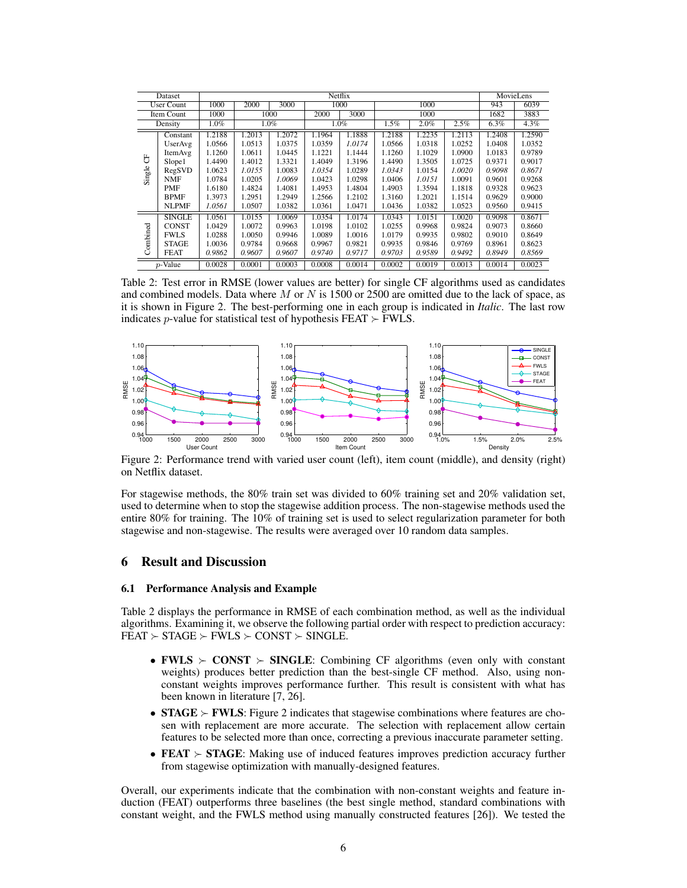| Dataset                  |               |         | MovieLens    |        |        |        |         |        |        |        |        |
|--------------------------|---------------|---------|--------------|--------|--------|--------|---------|--------|--------|--------|--------|
| <b>User Count</b>        |               | 1000    | 2000<br>3000 |        | 1000   |        | 1000    |        |        | 943    | 6039   |
| Item Count               |               | 1000    | 1000         |        | 2000   | 3000   | 1000    |        | 1682   | 3883   |        |
| Density                  |               | $1.0\%$ | $1.0\%$      |        | 1.0%   |        | $1.5\%$ | 2.0%   | 2.5%   | 6.3%   | 4.3%   |
| 5<br>Single <sup>®</sup> | Constant      | 1.2188  | 1.2013       | 1.2072 | 1.1964 | 1.1888 | 1.2188  | 1.2235 | 1.2113 | 1.2408 | 1.2590 |
|                          | UserAvg       | 1.0566  | 1.0513       | 1.0375 | 1.0359 | 1.0174 | 1.0566  | 1.0318 | 1.0252 | 1.0408 | 1.0352 |
|                          | ItemAvg       | 1.1260  | 1.0611       | 1.0445 | 1.1221 | 1.1444 | 1.1260  | 1.1029 | 1.0900 | 1.0183 | 0.9789 |
|                          | Slope1        | 1.4490  | 1.4012       | 1.3321 | 1.4049 | 1.3196 | 1.4490  | 1.3505 | 1.0725 | 0.9371 | 0.9017 |
|                          | RegSVD        | 1.0623  | 1.0155       | 1.0083 | 1.0354 | 1.0289 | 1.0343  | 1.0154 | 1.0020 | 0.9098 | 0.8671 |
|                          | <b>NMF</b>    | 1.0784  | 1.0205       | 1.0069 | 1.0423 | 1.0298 | 1.0406  | 1.0151 | 1.0091 | 0.9601 | 0.9268 |
|                          | PMF           | 1.6180  | 1.4824       | 1.4081 | 1.4953 | 1.4804 | 1.4903  | 1.3594 | 1.1818 | 0.9328 | 0.9623 |
|                          | <b>BPMF</b>   | 1.3973  | 1.2951       | 1.2949 | 1.2566 | 1.2102 | 1.3160  | 1.2021 | 1.1514 | 0.9629 | 0.9000 |
|                          | NLPMF         | 1.0561  | 1.0507       | 1.0382 | 1.0361 | 1.0471 | 1.0436  | 1.0382 | 1.0523 | 0.9560 | 0.9415 |
| Combined                 | <b>SINGLE</b> | 1.0561  | 1.0155       | 1.0069 | 1.0354 | 1.0174 | 1.0343  | 1.0151 | 1.0020 | 0.9098 | 0.8671 |
|                          | <b>CONST</b>  | 1.0429  | 1.0072       | 0.9963 | 1.0198 | 1.0102 | 1.0255  | 0.9968 | 0.9824 | 0.9073 | 0.8660 |
|                          | <b>FWLS</b>   | 1.0288  | 1.0050       | 0.9946 | 1.0089 | 1.0016 | 1.0179  | 0.9935 | 0.9802 | 0.9010 | 0.8649 |
|                          | <b>STAGE</b>  | 1.0036  | 0.9784       | 0.9668 | 0.9967 | 0.9821 | 0.9935  | 0.9846 | 0.9769 | 0.8961 | 0.8623 |
|                          | <b>FEAT</b>   | 0.9862  | 0.9607       | 0.9607 | 0.9740 | 0.9717 | 0.9703  | 0.9589 | 0.9492 | 0.8949 | 0.8569 |
| $p$ -Value               |               | 0.0028  | 0.0001       | 0.0003 | 0.0008 | 0.0014 | 0.0002  | 0.0019 | 0.0013 | 0.0014 | 0.0023 |

Table 2: Test error in RMSE (lower values are better) for single CF algorithms used as candidates and combined models. Data where  $M$  or  $N$  is 1500 or 2500 are omitted due to the lack of space, as it is shown in Figure 2. The best-performing one in each group is indicated in *Italic*. The last row indicates *p*-value for statistical test of hypothesis FEAT  $\succ$  FWLS.



Figure 2: Performance trend with varied user count (left), item count (middle), and density (right) on Netflix dataset.

For stagewise methods, the 80% train set was divided to 60% training set and 20% validation set, used to determine when to stop the stagewise addition process. The non-stagewise methods used the entire 80% for training. The 10% of training set is used to select regularization parameter for both stagewise and non-stagewise. The results were averaged over 10 random data samples.

### 6 Result and Discussion

#### 6.1 Performance Analysis and Example

Table 2 displays the performance in RMSE of each combination method, as well as the individual algorithms. Examining it, we observe the following partial order with respect to prediction accuracy:  $FEAT \succ STAGE \succ FWLS \succ CONST \succ SINGLE.$ 

- FWLS  $\succeq$  CONST  $\succeq$  SINGLE: Combining CF algorithms (even only with constant weights) produces better prediction than the best-single CF method. Also, using nonconstant weights improves performance further. This result is consistent with what has been known in literature [7, 26].
- **STAGE**  $\succ$  **FWLS**: Figure 2 indicates that stagewise combinations where features are chosen with replacement are more accurate. The selection with replacement allow certain features to be selected more than once, correcting a previous inaccurate parameter setting.
- FEAT  $\succ$  STAGE: Making use of induced features improves prediction accuracy further from stagewise optimization with manually-designed features.

Overall, our experiments indicate that the combination with non-constant weights and feature induction (FEAT) outperforms three baselines (the best single method, standard combinations with constant weight, and the FWLS method using manually constructed features [26]). We tested the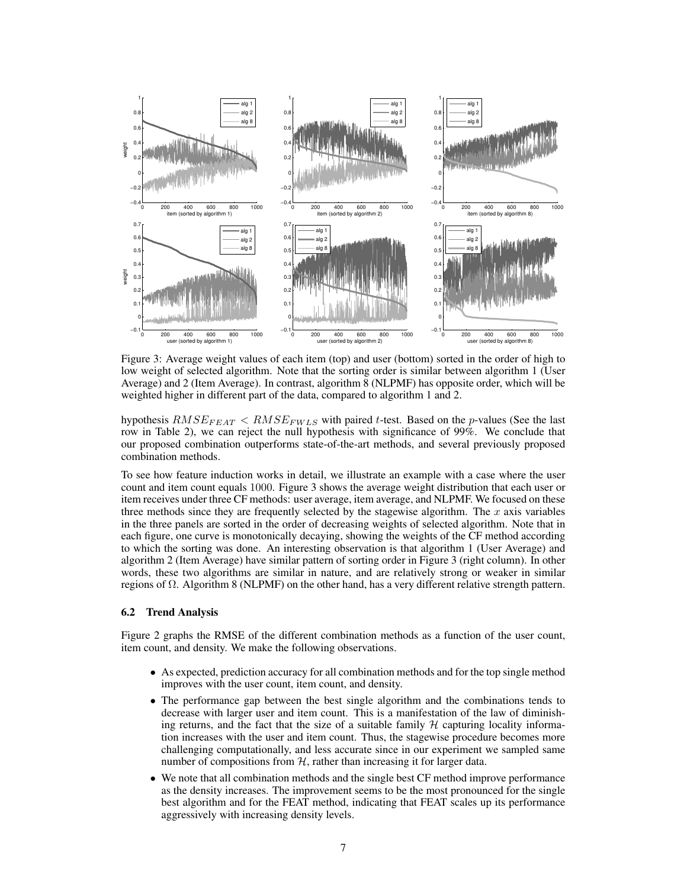

Figure 3: Average weight values of each item (top) and user (bottom) sorted in the order of high to low weight of selected algorithm. Note that the sorting order is similar between algorithm 1 (User Average) and 2 (Item Average). In contrast, algorithm 8 (NLPMF) has opposite order, which will be weighted higher in different part of the data, compared to algorithm 1 and 2.

hypothesis  $RMSE_{FEAT} < RMSE_{FWLS}$  with paired t-test. Based on the p-values (See the last row in Table 2), we can reject the null hypothesis with significance of 99%. We conclude that our proposed combination outperforms state-of-the-art methods, and several previously proposed combination methods.

To see how feature induction works in detail, we illustrate an example with a case where the user count and item count equals 1000. Figure 3 shows the average weight distribution that each user or item receives under three CF methods: user average, item average, and NLPMF. We focused on these three methods since they are frequently selected by the stagewise algorithm. The  $x$  axis variables in the three panels are sorted in the order of decreasing weights of selected algorithm. Note that in each figure, one curve is monotonically decaying, showing the weights of the CF method according to which the sorting was done. An interesting observation is that algorithm 1 (User Average) and algorithm 2 (Item Average) have similar pattern of sorting order in Figure 3 (right column). In other words, these two algorithms are similar in nature, and are relatively strong or weaker in similar regions of  $Ω$ . Algorithm 8 (NLPMF) on the other hand, has a very different relative strength pattern.

#### 6.2 Trend Analysis

Figure 2 graphs the RMSE of the different combination methods as a function of the user count, item count, and density. We make the following observations.

- As expected, prediction accuracy for all combination methods and for the top single method improves with the user count, item count, and density.
- The performance gap between the best single algorithm and the combinations tends to decrease with larger user and item count. This is a manifestation of the law of diminishing returns, and the fact that the size of a suitable family  $H$  capturing locality information increases with the user and item count. Thus, the stagewise procedure becomes more challenging computationally, and less accurate since in our experiment we sampled same number of compositions from  $H$ , rather than increasing it for larger data.
- We note that all combination methods and the single best CF method improve performance as the density increases. The improvement seems to be the most pronounced for the single best algorithm and for the FEAT method, indicating that FEAT scales up its performance aggressively with increasing density levels.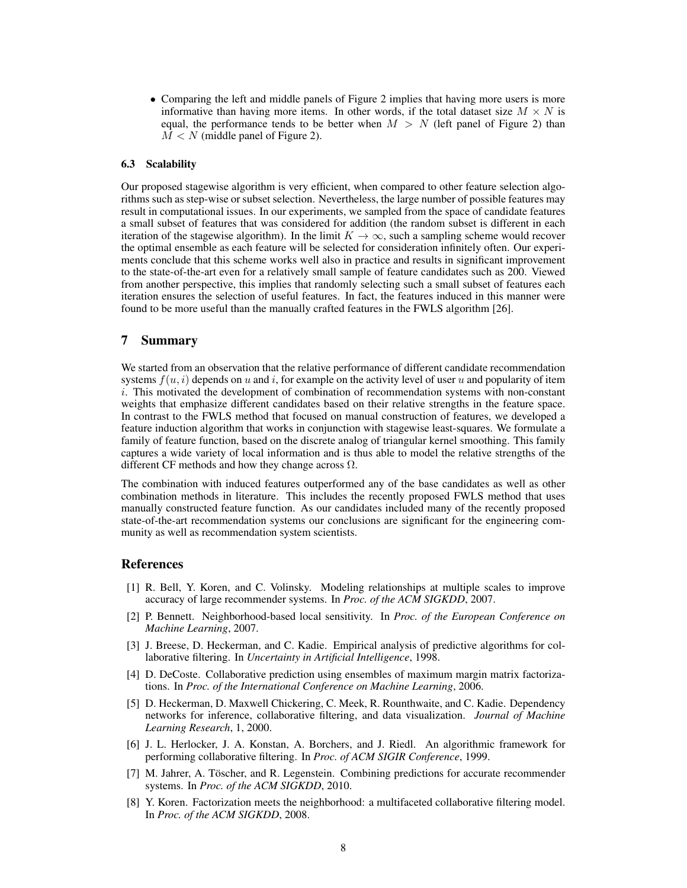• Comparing the left and middle panels of Figure 2 implies that having more users is more informative than having more items. In other words, if the total dataset size  $M \times N$  is equal, the performance tends to be better when  $M > N$  (left panel of Figure 2) than  $M < N$  (middle panel of Figure 2).

### 6.3 Scalability

Our proposed stagewise algorithm is very efficient, when compared to other feature selection algorithms such as step-wise or subset selection. Nevertheless, the large number of possible features may result in computational issues. In our experiments, we sampled from the space of candidate features a small subset of features that was considered for addition (the random subset is different in each iteration of the stagewise algorithm). In the limit  $K \to \infty$ , such a sampling scheme would recover the optimal ensemble as each feature will be selected for consideration infinitely often. Our experiments conclude that this scheme works well also in practice and results in significant improvement to the state-of-the-art even for a relatively small sample of feature candidates such as 200. Viewed from another perspective, this implies that randomly selecting such a small subset of features each iteration ensures the selection of useful features. In fact, the features induced in this manner were found to be more useful than the manually crafted features in the FWLS algorithm [26].

### 7 Summary

We started from an observation that the relative performance of different candidate recommendation systems  $f(u, i)$  depends on u and i, for example on the activity level of user u and popularity of item i. This motivated the development of combination of recommendation systems with non-constant weights that emphasize different candidates based on their relative strengths in the feature space. In contrast to the FWLS method that focused on manual construction of features, we developed a feature induction algorithm that works in conjunction with stagewise least-squares. We formulate a family of feature function, based on the discrete analog of triangular kernel smoothing. This family captures a wide variety of local information and is thus able to model the relative strengths of the different CF methods and how they change across  $\Omega$ .

The combination with induced features outperformed any of the base candidates as well as other combination methods in literature. This includes the recently proposed FWLS method that uses manually constructed feature function. As our candidates included many of the recently proposed state-of-the-art recommendation systems our conclusions are significant for the engineering community as well as recommendation system scientists.

### References

- [1] R. Bell, Y. Koren, and C. Volinsky. Modeling relationships at multiple scales to improve accuracy of large recommender systems. In *Proc. of the ACM SIGKDD*, 2007.
- [2] P. Bennett. Neighborhood-based local sensitivity. In *Proc. of the European Conference on Machine Learning*, 2007.
- [3] J. Breese, D. Heckerman, and C. Kadie. Empirical analysis of predictive algorithms for collaborative filtering. In *Uncertainty in Artificial Intelligence*, 1998.
- [4] D. DeCoste. Collaborative prediction using ensembles of maximum margin matrix factorizations. In *Proc. of the International Conference on Machine Learning*, 2006.
- [5] D. Heckerman, D. Maxwell Chickering, C. Meek, R. Rounthwaite, and C. Kadie. Dependency networks for inference, collaborative filtering, and data visualization. *Journal of Machine Learning Research*, 1, 2000.
- [6] J. L. Herlocker, J. A. Konstan, A. Borchers, and J. Riedl. An algorithmic framework for performing collaborative filtering. In *Proc. of ACM SIGIR Conference*, 1999.
- [7] M. Jahrer, A. Töscher, and R. Legenstein. Combining predictions for accurate recommender systems. In *Proc. of the ACM SIGKDD*, 2010.
- [8] Y. Koren. Factorization meets the neighborhood: a multifaceted collaborative filtering model. In *Proc. of the ACM SIGKDD*, 2008.